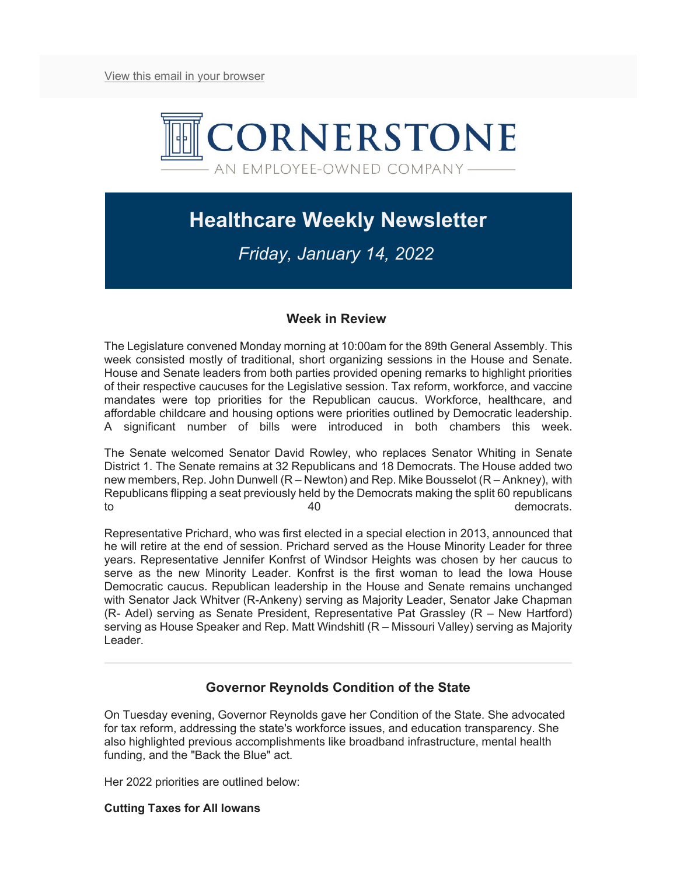

# **Healthcare Weekly Newsletter**

## *Friday, January 14, 2022*

### **Week in Review**

The Legislature convened Monday morning at 10:00am for the 89th General Assembly. This week consisted mostly of traditional, short organizing sessions in the House and Senate. House and Senate leaders from both parties provided opening remarks to highlight priorities of their respective caucuses for the Legislative session. Tax reform, workforce, and vaccine mandates were top priorities for the Republican caucus. Workforce, healthcare, and affordable childcare and housing options were priorities outlined by Democratic leadership. A significant number of bills were introduced in both chambers this week.

The Senate welcomed Senator David Rowley, who replaces Senator Whiting in Senate District 1. The Senate remains at 32 Republicans and 18 Democrats. The House added two new members, Rep. John Dunwell (R – Newton) and Rep. Mike Bousselot (R – Ankney), with Republicans flipping a seat previously held by the Democrats making the split 60 republicans to the contract of the 40 democrats.

Representative Prichard, who was first elected in a special election in 2013, announced that he will retire at the end of session. Prichard served as the House Minority Leader for three years. Representative Jennifer Konfrst of Windsor Heights was chosen by her caucus to serve as the new Minority Leader. Konfrst is the first woman to lead the Iowa House Democratic caucus. Republican leadership in the House and Senate remains unchanged with Senator Jack Whitver (R-Ankeny) serving as Majority Leader, Senator Jake Chapman (R- Adel) serving as Senate President, Representative Pat Grassley (R – New Hartford) serving as House Speaker and Rep. Matt Windshitl (R – Missouri Valley) serving as Majority Leader.

## **Governor Reynolds Condition of the State**

On Tuesday evening, Governor Reynolds gave her Condition of the State. She advocated for tax reform, addressing the state's workforce issues, and education transparency. She also highlighted previous accomplishments like broadband infrastructure, mental health funding, and the "Back the Blue" act.

Her 2022 priorities are outlined below:

#### **Cutting Taxes for All Iowans**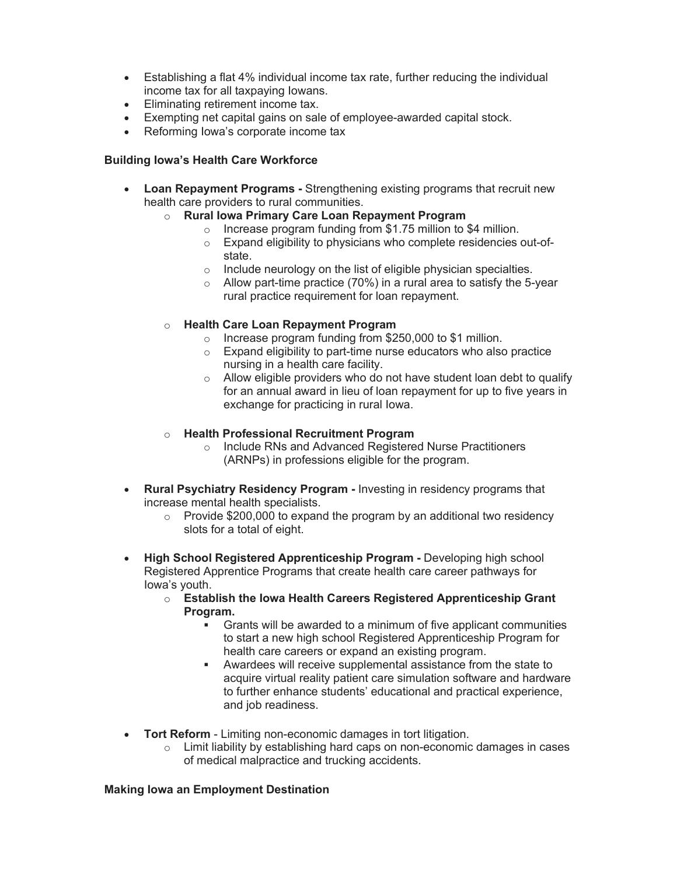- Establishing a flat 4% individual income tax rate, further reducing the individual income tax for all taxpaying Iowans.
- Eliminating retirement income tax.
- Exempting net capital gains on sale of employee-awarded capital stock.
- Reforming Iowa's corporate income tax

#### **Building Iowa's Health Care Workforce**

- **Loan Repayment Programs -** Strengthening existing programs that recruit new health care providers to rural communities.
	- o **Rural Iowa Primary Care Loan Repayment Program**
		- o Increase program funding from \$1.75 million to \$4 million.
		- o Expand eligibility to physicians who complete residencies out-ofstate.
		- $\circ$  Include neurology on the list of eligible physician specialties.
		- $\circ$  Allow part-time practice (70%) in a rural area to satisfy the 5-year rural practice requirement for loan repayment.
	- o **Health Care Loan Repayment Program**
		- o Increase program funding from \$250,000 to \$1 million.
		- $\circ$  Expand eligibility to part-time nurse educators who also practice nursing in a health care facility.
		- o Allow eligible providers who do not have student loan debt to qualify for an annual award in lieu of loan repayment for up to five years in exchange for practicing in rural Iowa.
	- o **Health Professional Recruitment Program**
		- o Include RNs and Advanced Registered Nurse Practitioners (ARNPs) in professions eligible for the program.
- **Rural Psychiatry Residency Program -** Investing in residency programs that increase mental health specialists.
	- $\circ$  Provide \$200,000 to expand the program by an additional two residency slots for a total of eight.
- **High School Registered Apprenticeship Program -** Developing high school Registered Apprentice Programs that create health care career pathways for Iowa's youth.
	- o **Establish the Iowa Health Careers Registered Apprenticeship Grant Program.**
		- Grants will be awarded to a minimum of five applicant communities to start a new high school Registered Apprenticeship Program for health care careers or expand an existing program.
		- Awardees will receive supplemental assistance from the state to acquire virtual reality patient care simulation software and hardware to further enhance students' educational and practical experience, and job readiness.
- **Tort Reform**  Limiting non-economic damages in tort litigation.
	- $\circ$  Limit liability by establishing hard caps on non-economic damages in cases of medical malpractice and trucking accidents.

#### **Making Iowa an Employment Destination**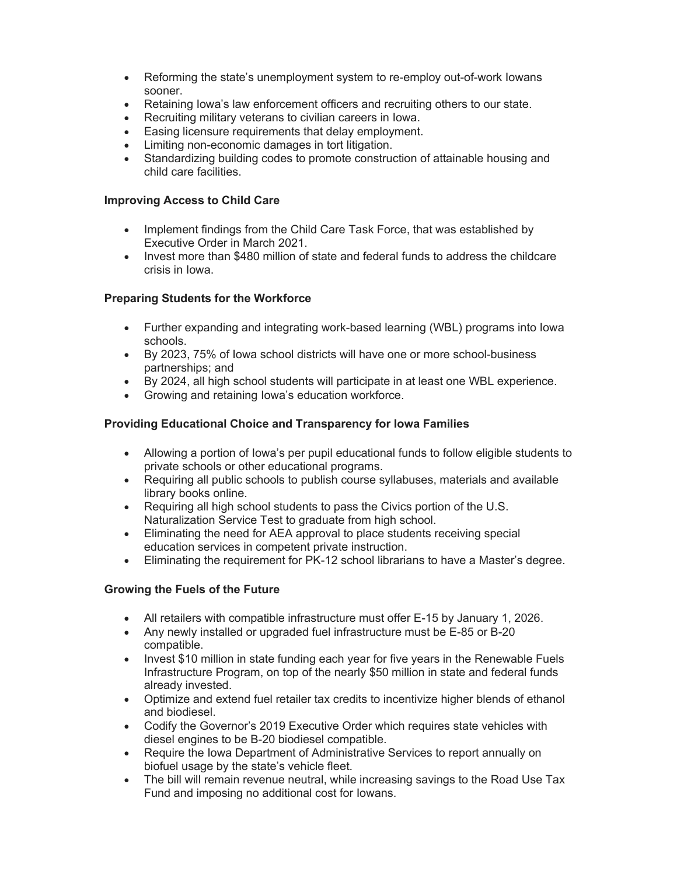- Reforming the state's unemployment system to re-employ out-of-work Iowans sooner.
- Retaining Iowa's law enforcement officers and recruiting others to our state.
- Recruiting military veterans to civilian careers in Iowa.
- Easing licensure requirements that delay employment.
- Limiting non-economic damages in tort litigation.
- Standardizing building codes to promote construction of attainable housing and child care facilities.

#### **Improving Access to Child Care**

- Implement findings from the Child Care Task Force, that was established by Executive Order in March 2021.
- Invest more than \$480 million of state and federal funds to address the childcare crisis in Iowa.

#### **Preparing Students for the Workforce**

- Further expanding and integrating work-based learning (WBL) programs into Iowa schools.
- By 2023, 75% of Iowa school districts will have one or more school-business partnerships; and
- By 2024, all high school students will participate in at least one WBL experience.
- Growing and retaining Iowa's education workforce.

#### **Providing Educational Choice and Transparency for Iowa Families**

- Allowing a portion of Iowa's per pupil educational funds to follow eligible students to private schools or other educational programs.
- Requiring all public schools to publish course syllabuses, materials and available library books online.
- Requiring all high school students to pass the Civics portion of the U.S. Naturalization Service Test to graduate from high school.
- Eliminating the need for AEA approval to place students receiving special education services in competent private instruction.
- Eliminating the requirement for PK-12 school librarians to have a Master's degree.

#### **Growing the Fuels of the Future**

- All retailers with compatible infrastructure must offer E-15 by January 1, 2026.
- Any newly installed or upgraded fuel infrastructure must be E-85 or B-20 compatible.
- Invest \$10 million in state funding each year for five years in the Renewable Fuels Infrastructure Program, on top of the nearly \$50 million in state and federal funds already invested.
- Optimize and extend fuel retailer tax credits to incentivize higher blends of ethanol and biodiesel.
- Codify the Governor's 2019 Executive Order which requires state vehicles with diesel engines to be B-20 biodiesel compatible.
- Require the Iowa Department of Administrative Services to report annually on biofuel usage by the state's vehicle fleet.
- The bill will remain revenue neutral, while increasing savings to the Road Use Tax Fund and imposing no additional cost for Iowans.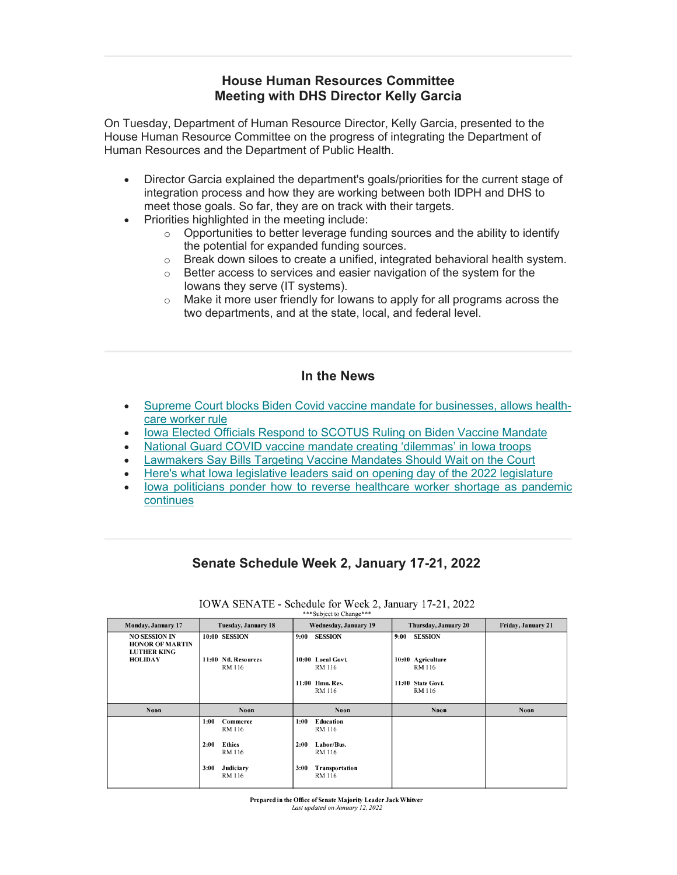## **House Human Resources Committee Meeting with DHS Director Kelly Garcia**

On Tuesday, Department of Human Resource Director, Kelly Garcia, presented to the House Human Resource Committee on the progress of integrating the Department of Human Resources and the Department of Public Health.

- Director Garcia explained the department's goals/priorities for the current stage of integration process and how they are working between both IDPH and DHS to meet those goals. So far, they are on track with their targets.
- Priorities highlighted in the meeting include:
	- $\circ$  Opportunities to better leverage funding sources and the ability to identify the potential for expanded funding sources.
	- o Break down siloes to create a unified, integrated behavioral health system.
	- o Better access to services and easier navigation of the system for the Iowans they serve (IT systems).
	- o Make it more user friendly for Iowans to apply for all programs across the two departments, and at the state, local, and federal level.

#### **In the News**

- [Supreme Court blocks Biden Covid vaccine mandate for businesses, allows health](https://www.cnbc.com/2022/01/13/supreme-court-ruling-biden-covid-vaccine-mandates.html)[care worker rule](https://www.cnbc.com/2022/01/13/supreme-court-ruling-biden-covid-vaccine-mandates.html)
- [Iowa Elected Officials Respond to SCOTUS Ruling on Biden Vaccine Mandate](https://iowatorch.com/2022/01/14/iowa-elected-officials-respond-to-scotus-ruling-on-biden-vaccine-mandate/)
- [National Guard COVID vaccine mandate creating 'dilemmas' in Iowa troops](https://iowacapitaldispatch.com/2022/01/13/national-guard-covid-vaccine-mandate-creating-dilemmas-in-iowa-troops/?eType=EmailBlastContent&eId=4a62891f-e51f-4539-9275-2e0a132a53f9)
- [Lawmakers Say Bills Targeting Vaccine Mandates Should Wait on the Court](https://iowatorch.com/2022/01/05/lawmakers-say-bills-targeting-vaccine-mandates-should-wait-on-the-courts/)
- [Here's what Iowa legislative leaders said on opening day of the 2022 legislature](https://www.desmoinesregister.com/story/news/politics/2022/01/10/iowa-legislature-updates-lawmakers-return-capitol-2022-legislative-session/9080325002/)
- [Iowa politicians ponder how to reverse healthcare worker shortage as pandemic](https://who13.com/news/coronavirus/iowa-impacts/iowa-politicians-ponder-how-to-reverse-healthcare-worker-shortage-as-pandemic-continues/)  [continues](https://who13.com/news/coronavirus/iowa-impacts/iowa-politicians-ponder-how-to-reverse-healthcare-worker-shortage-as-pandemic-continues/)

## **Senate Schedule Week 2, January 17-21, 2022**

| Monday, January 17                                                   | Tuesday, January 18             | Wednesday, January 19            | Thursday, January 20        | Friday, January 21 |  |
|----------------------------------------------------------------------|---------------------------------|----------------------------------|-----------------------------|--------------------|--|
| <b>NO SESSION IN</b><br><b>HONOR OF MARTIN</b><br><b>LUTHER KING</b> | 10:00 SESSION                   | <b>SESSION</b><br>9:00           | <b>SESSION</b><br>9:00      |                    |  |
| <b>HOLIDAY</b>                                                       | 11:00 Ntl. Resources<br>RM 116  | 10:00 Local Govt.<br>RM 116      | 10:00 Agriculture<br>RM 116 |                    |  |
|                                                                      |                                 | 11:00 Hmn. Res.<br><b>RM</b> 116 | 11:00 State Govt.<br>RM 116 |                    |  |
| <b>Noon</b>                                                          | <b>Noon</b>                     | Noon                             | <b>Noon</b>                 | Noon               |  |
|                                                                      |                                 |                                  |                             |                    |  |
|                                                                      | 1:00<br>Commerce<br>RM 116      | Education<br>1:00<br>RM 116      |                             |                    |  |
|                                                                      | <b>Ethics</b><br>2:00<br>RM 116 | Labor/Bus.<br>2:00<br>RM 116     |                             |                    |  |

IOWA SENATE - Schedule for Week 2, January 17-21, 2022

Prepared in the Office of Senate Majority Leader Jack Whitver Last updated on January 12, 2022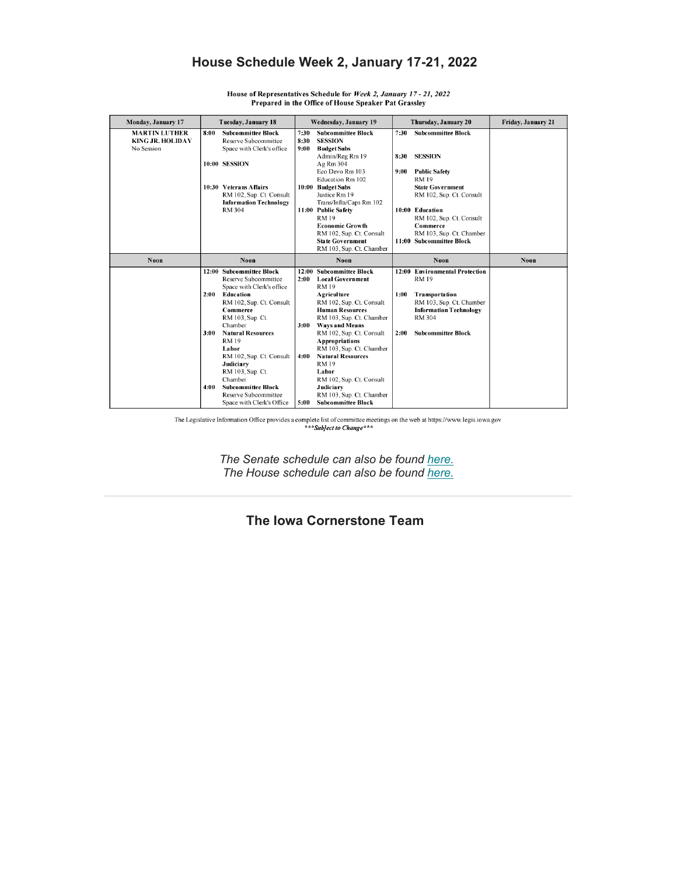## **House Schedule Week 2, January 17-21, 2022**

| Monday, January 17   |                          | Tuesday, January 18           | Wednesday, January 19 |                           | Thursday, January 20 |                                | Friday, January 21 |
|----------------------|--------------------------|-------------------------------|-----------------------|---------------------------|----------------------|--------------------------------|--------------------|
| <b>MARTIN LUTHER</b> | 8:00                     | <b>Subcommittee Block</b>     | 7:30                  | <b>Subcommittee Block</b> | 7:30                 | <b>Subcommittee Block</b>      |                    |
| KING JR. HOLIDAY     |                          | Reserve Subcommittee          | 8:30                  | <b>SESSION</b>            |                      |                                |                    |
| No Session           |                          | Space with Clerk's office     | 9:00                  | <b>Budget Subs</b>        |                      |                                |                    |
|                      |                          |                               |                       | Admin/Reg Rm 19           | 8:30                 | <b>SESSION</b>                 |                    |
|                      |                          | 10:00 SESSION                 |                       | Ag Rm 304                 |                      |                                |                    |
|                      |                          |                               |                       | Eco Devo Rm 103           | 9:00                 | <b>Public Safety</b>           |                    |
|                      |                          |                               |                       | Education Rm 102          |                      | <b>RM19</b>                    |                    |
|                      |                          | 10:30 Veterans Affairs        |                       | 10:00 Budget Subs         |                      | <b>State Government</b>        |                    |
|                      |                          | RM 102, Sup. Ct. Consult      |                       | Justice Rm 19             |                      | RM 102, Sup. Ct. Consult       |                    |
|                      |                          | <b>Information Technology</b> |                       | Trans/Infra/Caps Rm 102   |                      |                                |                    |
|                      |                          | <b>RM 304</b>                 |                       | 11:00 Public Safety       |                      | 10:00 Education                |                    |
|                      |                          |                               |                       | <b>RM19</b>               |                      | RM 102, Sup. Ct. Consult       |                    |
|                      |                          |                               |                       | <b>Economic Growth</b>    |                      | Commerce                       |                    |
|                      |                          |                               |                       | RM 102, Sup. Ct. Consult  |                      | RM 103, Sup. Ct. Chamber       |                    |
|                      |                          |                               |                       | <b>State Government</b>   |                      | 11:00 Subcommittee Block       |                    |
|                      |                          |                               |                       | RM 103, Sup. Ct. Chamber  |                      |                                |                    |
| Noon                 | Noon                     |                               | Noon                  |                           |                      | Noon                           | Noon               |
|                      | 12:00 Subcommittee Block |                               | 12:00                 | <b>Subcommittee Block</b> |                      | 12:00 Environmental Protection |                    |
|                      |                          | Reserve Subcommittee          | 2:00                  | <b>Local Government</b>   |                      | <b>RM19</b>                    |                    |
|                      |                          | Space with Clerk's office     |                       | <b>RM19</b>               |                      |                                |                    |
|                      | 2:00                     | Education                     |                       | <b>Agriculture</b>        | 1:00                 | Transportation                 |                    |
|                      |                          | RM 102, Sup. Ct. Consult      |                       | RM 102, Sup. Ct. Consult  |                      | RM 103, Sup. Ct. Chamber       |                    |
|                      |                          | Commerce                      |                       | <b>Human Resources</b>    |                      | <b>Information Technology</b>  |                    |
|                      |                          | RM 103, Sup. Ct.              |                       | RM 103, Sup. Ct. Chamber  |                      | <b>RM 304</b>                  |                    |
|                      |                          | Chamber                       | 3:00                  | <b>Ways and Means</b>     |                      |                                |                    |
|                      | 3:00                     | <b>Natural Resources</b>      |                       | RM 102, Sup. Ct. Consult  | 2:00                 | <b>Subcommittee Block</b>      |                    |
|                      |                          | <b>RM19</b>                   |                       | <b>Appropriations</b>     |                      |                                |                    |
|                      |                          | Labor                         |                       | RM 103, Sup. Ct. Chamber  |                      |                                |                    |
|                      |                          | RM 102, Sup. Ct. Consult      | 4:00                  | <b>Natural Resources</b>  |                      |                                |                    |
|                      |                          | Judiciary                     |                       | <b>RM19</b>               |                      |                                |                    |
|                      |                          | RM 103, Sup. Ct.              |                       | Labor                     |                      |                                |                    |
|                      |                          | Chamber                       |                       | RM 102, Sup. Ct. Consult  |                      |                                |                    |
|                      | 4:00                     | <b>Subcommittee Block</b>     |                       | Judiciary                 |                      |                                |                    |
|                      |                          | Reserve Subcommittee          |                       | RM 103, Sup. Ct. Chamber  |                      |                                |                    |
|                      |                          | Space with Clerk's Office     | 5:00                  | <b>Subcommittee Block</b> |                      |                                |                    |

House of Representatives Schedule for Week 2, January 17 - 21, 2022 Prepared in the Office of House Speaker Pat Grassley

The Legislative Information Office provides a complete list of committee meetings on the web at https://www.legis.iowa.gov \*\*\* Subject to Change\*\*\*

*The Senate schedule can also be found [here.](http://chrome-extension/efaidnbmnnnibpcajpcglclefindmkaj/viewer.html?pdfurl=https%3A%2F%2Fwww.legis.iowa.gov%2Fchambers%2Fcalendar%2Fsenate%3Faction%3DviewPdf%26calDate%3D01%2F17%2F2022&clen=110769) The House schedule can also be found [here.](http://chrome-extension/efaidnbmnnnibpcajpcglclefindmkaj/viewer.html?pdfurl=https%3A%2F%2Fwww.legis.iowa.gov%2Fchambers%2Fcalendar%2Fhouse%3Faction%3DviewPdf%26calDate%3D01%2F17%2F2022&clen=122203)*

## **The Iowa Cornerstone Team**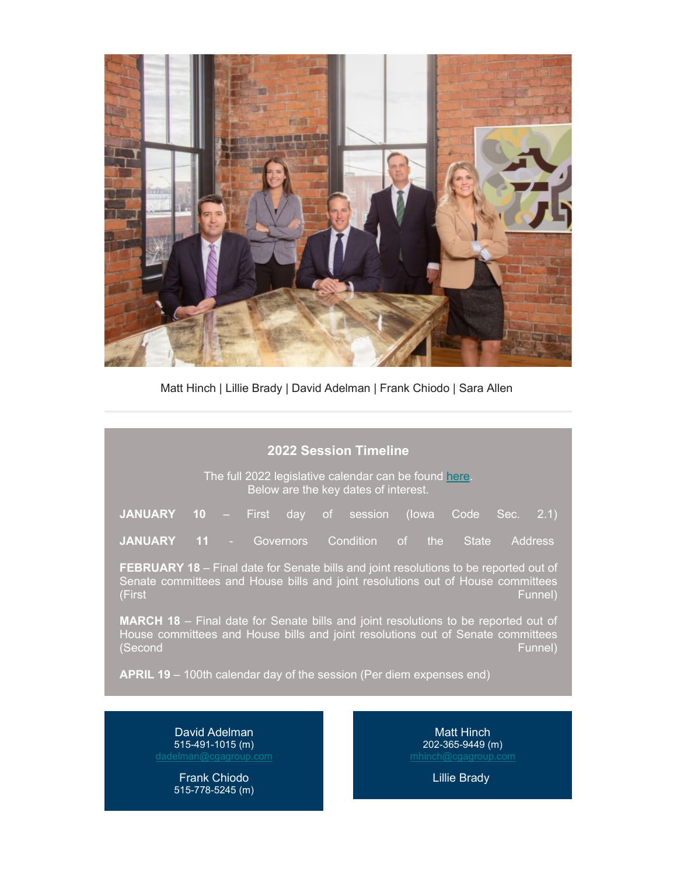

Matt Hinch | Lillie Brady | David Adelman | Frank Chiodo | Sara Allen

## **2022 Session Timeline**

The full 2022 legislative calendar can be found [here.](https://www.legis.iowa.gov/docs/publications/SESTT/current.pdf) Below are the key dates of interest.

| <b>JANUARY</b> 10 – First day of session (lowa Code Sec. 2.1) |  |  |  |  |  |
|---------------------------------------------------------------|--|--|--|--|--|
|                                                               |  |  |  |  |  |

**JANUARY 11** - Governors Condition of the State Address

**FEBRUARY 18** – Final date for Senate bills and joint resolutions to be reported out of Senate committees and House bills and joint resolutions out of House committees (First Funnel)

**MARCH 18** – Final date for Senate bills and joint resolutions to be reported out of House committees and House bills and joint resolutions out of Senate committees (Second Funnel)

**APRIL 19** – 100th calendar day of the session (Per diem expenses end)

David Adelman 515-491-1015 (m) [dadelman@cgagroup.com](mailto:dadelman@cgagroup.com)

> Frank Chiodo 515-778-5245 (m)

**Matt Hinch** 202-365-9449 (m)

Lillie Brady